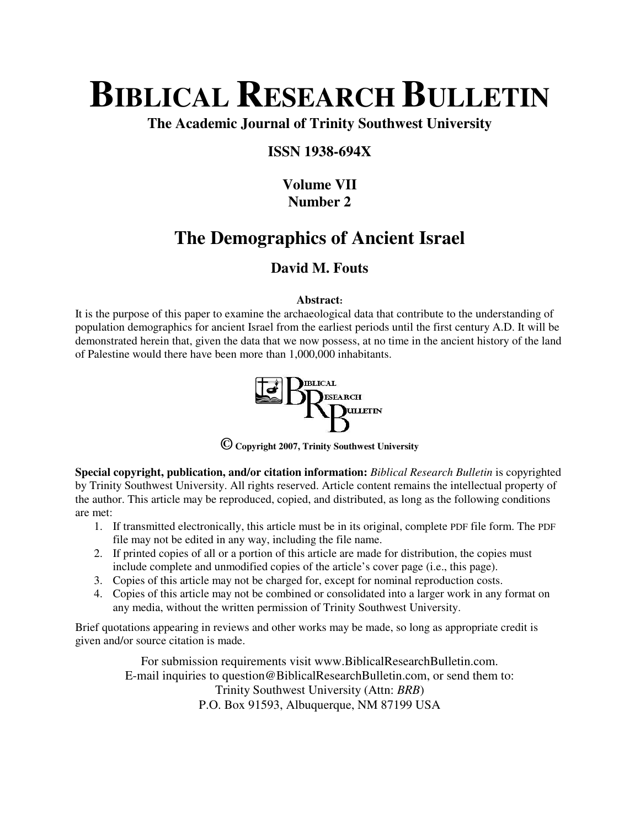# **BIBLICAL RESEARCH BULLETIN**

**The Academic Journal of Trinity Southwest University** 

# **ISSN 1938-694X**

# **Volume VII Number 2**

# **The Demographics of Ancient Israel**

# **David M. Fouts**

# **Abstract:**

It is the purpose of this paper to examine the archaeological data that contribute to the understanding of population demographics for ancient Israel from the earliest periods until the first century A.D. It will be demonstrated herein that, given the data that we now possess, at no time in the ancient history of the land of Palestine would there have been more than 1,000,000 inhabitants.



**© Copyright 2007, Trinity Southwest University** 

**Special copyright, publication, and/or citation information:** *Biblical Research Bulletin* is copyrighted by Trinity Southwest University. All rights reserved. Article content remains the intellectual property of the author. This article may be reproduced, copied, and distributed, as long as the following conditions are met:

- 1. If transmitted electronically, this article must be in its original, complete PDF file form. The PDF file may not be edited in any way, including the file name.
- 2. If printed copies of all or a portion of this article are made for distribution, the copies must include complete and unmodified copies of the article's cover page (i.e., this page).
- 3. Copies of this article may not be charged for, except for nominal reproduction costs.
- 4. Copies of this article may not be combined or consolidated into a larger work in any format on any media, without the written permission of Trinity Southwest University.

Brief quotations appearing in reviews and other works may be made, so long as appropriate credit is given and/or source citation is made.

> For submission requirements visit www.BiblicalResearchBulletin.com. E-mail inquiries to question@BiblicalResearchBulletin.com, or send them to: Trinity Southwest University (Attn: *BRB*) P.O. Box 91593, Albuquerque, NM 87199 USA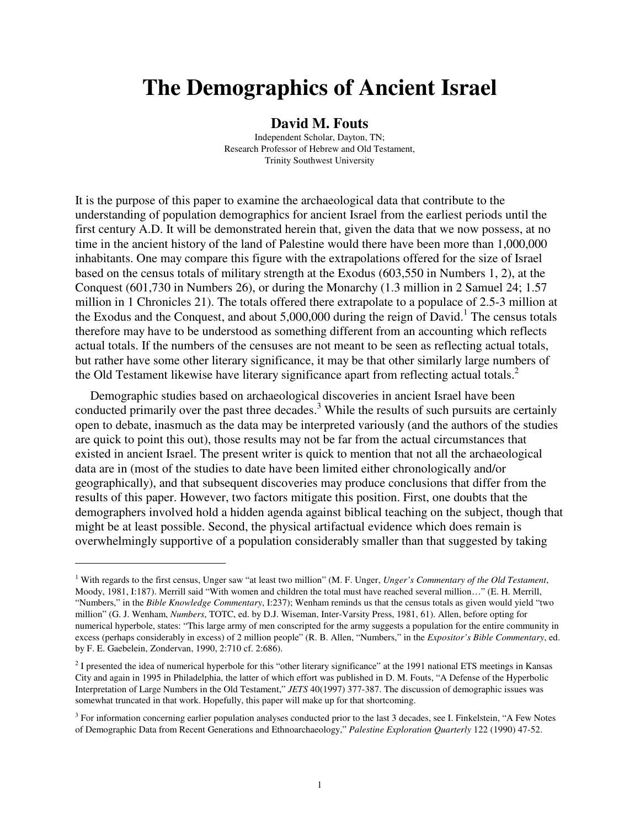# **The Demographics of Ancient Israel**

#### **David M. Fouts**

Independent Scholar, Dayton, TN; Research Professor of Hebrew and Old Testament, Trinity Southwest University

It is the purpose of this paper to examine the archaeological data that contribute to the understanding of population demographics for ancient Israel from the earliest periods until the first century A.D. It will be demonstrated herein that, given the data that we now possess, at no time in the ancient history of the land of Palestine would there have been more than 1,000,000 inhabitants. One may compare this figure with the extrapolations offered for the size of Israel based on the census totals of military strength at the Exodus (603,550 in Numbers 1, 2), at the Conquest (601,730 in Numbers 26), or during the Monarchy (1.3 million in 2 Samuel 24; 1.57 million in 1 Chronicles 21). The totals offered there extrapolate to a populace of 2.5-3 million at the Exodus and the Conquest, and about  $5,000,000$  during the reign of David.<sup>1</sup> The census totals therefore may have to be understood as something different from an accounting which reflects actual totals. If the numbers of the censuses are not meant to be seen as reflecting actual totals, but rather have some other literary significance, it may be that other similarly large numbers of the Old Testament likewise have literary significance apart from reflecting actual totals.<sup>2</sup>

Demographic studies based on archaeological discoveries in ancient Israel have been conducted primarily over the past three decades.<sup>3</sup> While the results of such pursuits are certainly open to debate, inasmuch as the data may be interpreted variously (and the authors of the studies are quick to point this out), those results may not be far from the actual circumstances that existed in ancient Israel. The present writer is quick to mention that not all the archaeological data are in (most of the studies to date have been limited either chronologically and/or geographically), and that subsequent discoveries may produce conclusions that differ from the results of this paper. However, two factors mitigate this position. First, one doubts that the demographers involved hold a hidden agenda against biblical teaching on the subject, though that might be at least possible. Second, the physical artifactual evidence which does remain is overwhelmingly supportive of a population considerably smaller than that suggested by taking

<sup>&</sup>lt;sup>1</sup> With regards to the first census, Unger saw "at least two million" (M. F. Unger, *Unger's Commentary of the Old Testament*, Moody, 1981, I:187). Merrill said "With women and children the total must have reached several million…" (E. H. Merrill, "Numbers," in the *Bible Knowledge Commentary*, I:237); Wenham reminds us that the census totals as given would yield "two million" (G. J. Wenham, *Numbers*, TOTC, ed. by D.J. Wiseman, Inter-Varsity Press, 1981, 61). Allen, before opting for numerical hyperbole, states: "This large army of men conscripted for the army suggests a population for the entire community in excess (perhaps considerably in excess) of 2 million people" (R. B. Allen, "Numbers," in the *Expositor's Bible Commentary*, ed. by F. E. Gaebelein, Zondervan, 1990, 2:710 cf. 2:686).

 $2<sup>2</sup>$  I presented the idea of numerical hyperbole for this "other literary significance" at the 1991 national ETS meetings in Kansas City and again in 1995 in Philadelphia, the latter of which effort was published in D. M. Fouts, "A Defense of the Hyperbolic Interpretation of Large Numbers in the Old Testament," *JETS* 40(1997) 377-387. The discussion of demographic issues was somewhat truncated in that work. Hopefully, this paper will make up for that shortcoming.

<sup>&</sup>lt;sup>3</sup> For information concerning earlier population analyses conducted prior to the last 3 decades, see I. Finkelstein, "A Few Notes of Demographic Data from Recent Generations and Ethnoarchaeology," *Palestine Exploration Quarterly* 122 (1990) 47-52.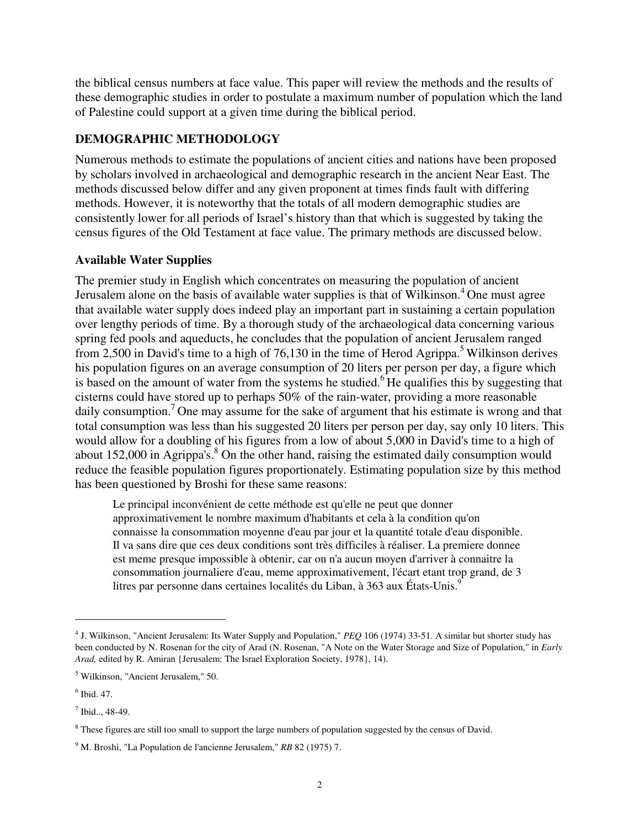the biblical census numbers at face value. This paper will review the methods and the results of these demographic studies in order to postulate a maximum number of population which the land of Palestine could support at a given time during the biblical period.

# **DEMOGRAPHIC METHODOLOGY**

Numerous methods to estimate the populations of ancient cities and nations have been proposed by scholars involved in archaeological and demographic research in the ancient Near East. The methods discussed below differ and any given proponent at times finds fault with differing methods. However, it is noteworthy that the totals of all modern demographic studies are consistently lower for all periods of Israel's history than that which is suggested by taking the census figures of the Old Testament at face value. The primary methods are discussed below.

# **Available Water Supplies**

The premier study in English which concentrates on measuring the population of ancient Jerusalem alone on the basis of available water supplies is that of Wilkinson.<sup>4</sup> One must agree that available water supply does indeed play an important part in sustaining a certain population over lengthy periods of time. By a thorough study of the archaeological data concerning various spring fed pools and aqueducts, he concludes that the population of ancient Jerusalem ranged from 2,500 in David's time to a high of 76,130 in the time of Herod Agrippa.<sup>5</sup> Wilkinson derives his population figures on an average consumption of 20 liters per person per day, a figure which is based on the amount of water from the systems he studied.<sup>6</sup>He qualifies this by suggesting that cisterns could have stored up to perhaps 50% of the rain-water, providing a more reasonable daily consumption.<sup>7</sup> One may assume for the sake of argument that his estimate is wrong and that total consumption was less than his suggested 20 liters per person per day, say only 10 liters. This would allow for a doubling of his figures from a low of about 5,000 in David's time to a high of about 152,000 in Agrippa's.<sup>8</sup> On the other hand, raising the estimated daily consumption would reduce the feasible population figures proportionately. Estimating population size by this method has been questioned by Broshi for these same reasons:

Le principal inconvénient de cette méthode est qu'elle ne peut que donner approximativement le nombre maximum d'habitants et cela à la condition qu'on connaisse la consommation moyenne d'eau par jour et la quantité totale d'eau disponible. Il va sans dire que ces deux conditions sont très difficiles à réaliser. La premiere donnee est meme presque impossible à obtenir, car on n'a aucun moyen d'arriver à connaitre la consommation journaliere d'eau, meme approximativement, l'écart etant trop grand, de 3 litres par personne dans certaines localités du Liban, à 363 aux États-Unis.<sup>9</sup>

<sup>4</sup> J. Wilkinson, "Ancient Jerusalem: Its Water Supply and Population," *PEQ* 106 (1974) 33-51. A similar but shorter study has been conducted by N. Rosenan for the city of Arad (N. Rosenan, "A Note on the Water Storage and Size of Population," in *Early Arad,* edited by R. Amiran {Jerusalem: The Israel Exploration Society, 1978}, 14).

<sup>5</sup> Wilkinson, "Ancient Jerusalem," 50.

<sup>6</sup> Ibid. 47.

 $<sup>7</sup>$  Ibid.., 48-49.</sup>

<sup>&</sup>lt;sup>8</sup> These figures are still too small to support the large numbers of population suggested by the census of David.

<sup>9</sup> M. Broshi, "La Population de l'ancienne Jerusalem," *RB* 82 (1975) 7.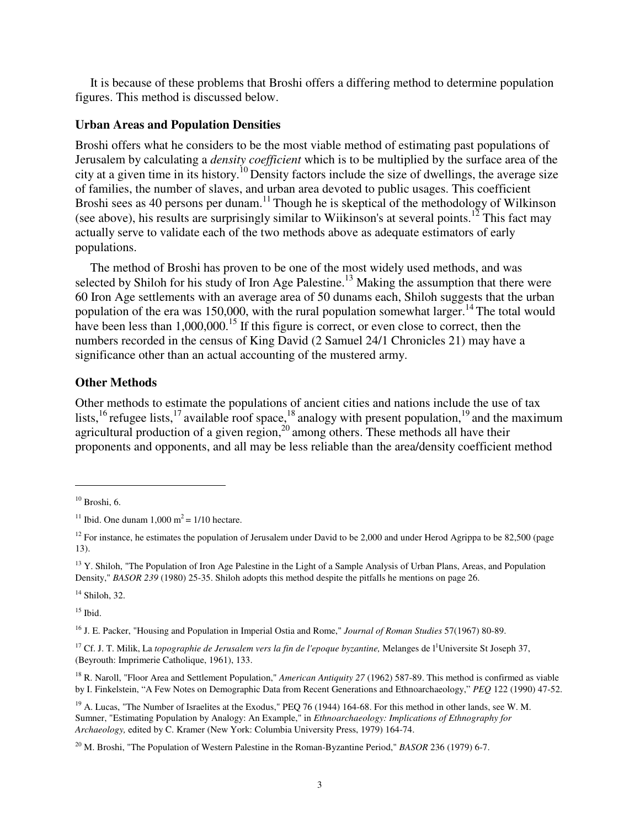It is because of these problems that Broshi offers a differing method to determine population figures. This method is discussed below.

#### **Urban Areas and Population Densities**

Broshi offers what he considers to be the most viable method of estimating past populations of Jerusalem by calculating a *density coefficient* which is to be multiplied by the surface area of the city at a given time in its history.<sup>10</sup> Density factors include the size of dwellings, the average size of families, the number of slaves, and urban area devoted to public usages. This coefficient Broshi sees as 40 persons per dunam.<sup>11</sup> Though he is skeptical of the methodology of Wilkinson (see above), his results are surprisingly similar to Wiikinson's at several points.<sup>12</sup> This fact may actually serve to validate each of the two methods above as adequate estimators of early populations.

The method of Broshi has proven to be one of the most widely used methods, and was selected by Shiloh for his study of Iron Age Palestine.<sup>13</sup> Making the assumption that there were 60 Iron Age settlements with an average area of 50 dunams each, Shiloh suggests that the urban population of the era was 150,000, with the rural population somewhat larger.<sup>14</sup> The total would have been less than  $1,000,000$ .<sup>15</sup> If this figure is correct, or even close to correct, then the numbers recorded in the census of King David (2 Samuel 24/1 Chronicles 21) may have a significance other than an actual accounting of the mustered army.

#### **Other Methods**

Other methods to estimate the populations of ancient cities and nations include the use of tax lists,<sup>16</sup> refugee lists,<sup>17</sup> available roof space,<sup>18</sup> analogy with present population,<sup>19</sup> and the maximum agricultural production of a given region, $20$  among others. These methods all have their proponents and opponents, and all may be less reliable than the area/density coefficient method

l

 $14$  Shiloh, 32.

 $15$  Ibid.

<sup>16</sup> J. E. Packer, "Housing and Population in Imperial Ostia and Rome," *Journal of Roman Studies* 57(1967) 80-89.

<sup>17</sup> Cf. J. T. Milik, La *topographie de Jerusalem vers la fin de l'epoque byzantine*, Melanges de l<sup>1</sup>Universite St Joseph 37, (Beyrouth: Imprimerie Catholique, 1961), 133.

<sup>18</sup> R. Naroll, "Floor Area and Settlement Population," *American Antiquity 27* (1962) 587-89. This method is confirmed as viable by I. Finkelstein, "A Few Notes on Demographic Data from Recent Generations and Ethnoarchaeology," *PEQ* 122 (1990) 47-52.

 $19$  A. Lucas, "The Number of Israelites at the Exodus," PEO 76 (1944) 164-68. For this method in other lands, see W. M. Sumner, "Estimating Population by Analogy: An Example," in *Ethnoarchaeology: Implications of Ethnography for Archaeology,* edited by C. Kramer (New York: Columbia University Press, 1979) 164-74.

 $10$  Broshi, 6.

<sup>&</sup>lt;sup>11</sup> Ibid. One dunam  $1,000 \text{ m}^2 = 1/10 \text{ hectare}.$ 

<sup>&</sup>lt;sup>12</sup> For instance, he estimates the population of Jerusalem under David to be 2,000 and under Herod Agrippa to be 82,500 (page 13).

 $13$  Y. Shiloh, "The Population of Iron Age Palestine in the Light of a Sample Analysis of Urban Plans, Areas, and Population Density," *BASOR 239* (1980) 25-35. Shiloh adopts this method despite the pitfalls he mentions on page 26.

<sup>20</sup> M. Broshi, "The Population of Western Palestine in the Roman-Byzantine Period," *BASOR* 236 (1979) 6-7.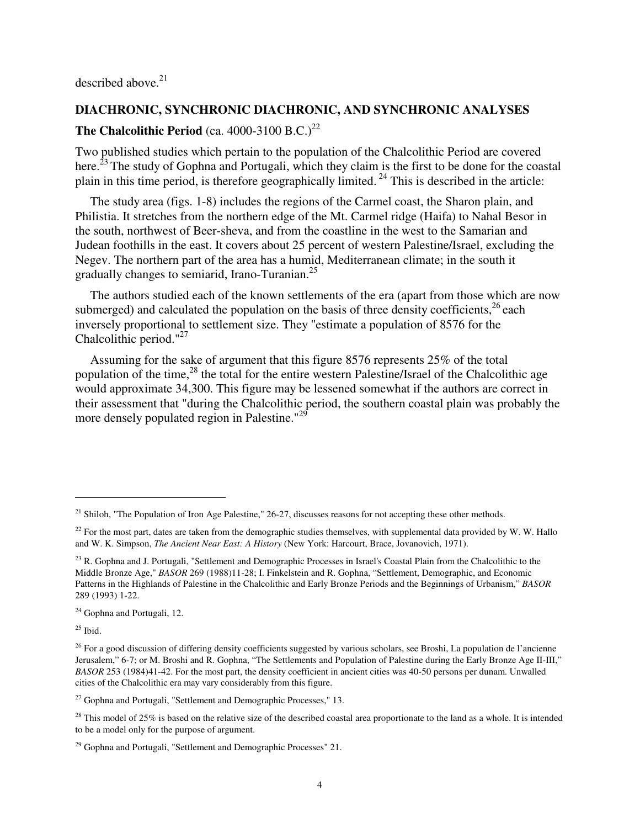described above.<sup>21</sup>

# **DIACHRONIC, SYNCHRONIC DIACHRONIC, AND SYNCHRONIC ANALYSES**

# **The Chalcolithic Period** (ca. 4000-3100 B.C.)<sup>22</sup>

Two published studies which pertain to the population of the Chalcolithic Period are covered here.<sup>23</sup> The study of Gophna and Portugali, which they claim is the first to be done for the coastal plain in this time period, is therefore geographically limited.<sup>24</sup> This is described in the article:

The study area (figs. 1-8) includes the regions of the Carmel coast, the Sharon plain, and Philistia. It stretches from the northern edge of the Mt. Carmel ridge (Haifa) to Nahal Besor in the south, northwest of Beer-sheva, and from the coastline in the west to the Samarian and Judean foothills in the east. It covers about 25 percent of western Palestine/Israel, excluding the Negev. The northern part of the area has a humid, Mediterranean climate; in the south it gradually changes to semiarid, Irano-Turanian.<sup>25</sup>

The authors studied each of the known settlements of the era (apart from those which are now submerged) and calculated the population on the basis of three density coefficients, $26$  each inversely proportional to settlement size. They "estimate a population of 8576 for the Chalcolithic period."<sup>27</sup>

Assuming for the sake of argument that this figure 8576 represents 25% of the total population of the time, $^{28}$  the total for the entire western Palestine/Israel of the Chalcolithic age would approximate 34,300. This figure may be lessened somewhat if the authors are correct in their assessment that "during the Chalcolithic period, the southern coastal plain was probably the more densely populated region in Palestine."<sup>29</sup>

 $25$  Ibid.

l

<sup>&</sup>lt;sup>21</sup> Shiloh, "The Population of Iron Age Palestine," 26-27, discusses reasons for not accepting these other methods.

 $^{22}$  For the most part, dates are taken from the demographic studies themselves, with supplemental data provided by W. W. Hallo and W. K. Simpson, *The Ancient Near East: A History* (New York: Harcourt, Brace, Jovanovich, 1971).

<sup>&</sup>lt;sup>23</sup> R. Gophna and J. Portugali, "Settlement and Demographic Processes in Israel's Coastal Plain from the Chalcolithic to the Middle Bronze Age," *BASOR* 269 (1988)11-28; I. Finkelstein and R. Gophna, "Settlement, Demographic, and Economic Patterns in the Highlands of Palestine in the Chalcolithic and Early Bronze Periods and the Beginnings of Urbanism," *BASOR* 289 (1993) 1-22.

<sup>&</sup>lt;sup>24</sup> Gophna and Portugali, 12.

 $^{26}$  For a good discussion of differing density coefficients suggested by various scholars, see Broshi, La population de l'ancienne Jerusalem," 6-7; or M. Broshi and R. Gophna, "The Settlements and Population of Palestine during the Early Bronze Age II-III," *BASOR* 253 (1984)41-42. For the most part, the density coefficient in ancient cities was 40-50 persons per dunam. Unwalled cities of the Chalcolithic era may vary considerably from this figure.

 $27$  Gophna and Portugali, "Settlement and Demographic Processes," 13.

<sup>&</sup>lt;sup>28</sup> This model of 25% is based on the relative size of the described coastal area proportionate to the land as a whole. It is intended to be a model only for the purpose of argument.

<sup>&</sup>lt;sup>29</sup> Gophna and Portugali, "Settlement and Demographic Processes" 21.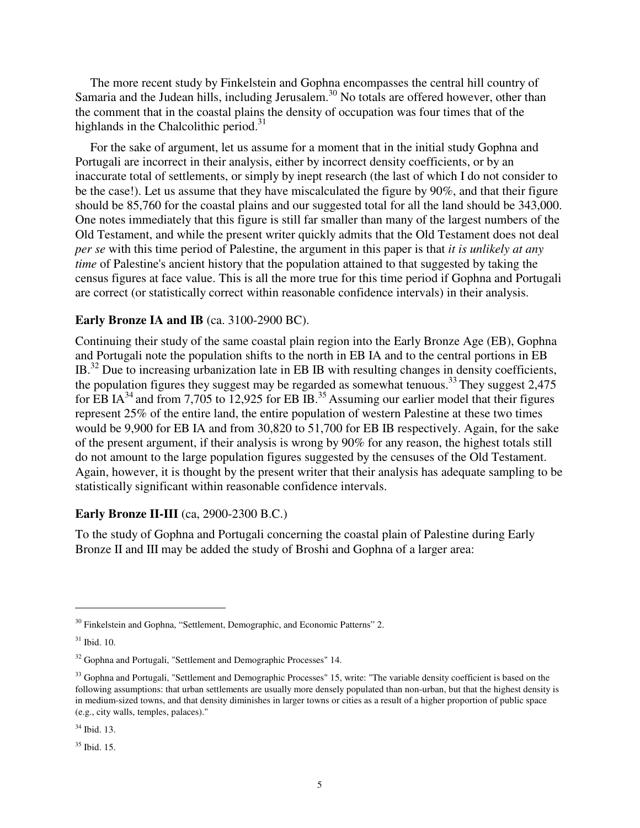The more recent study by Finkelstein and Gophna encompasses the central hill country of Samaria and the Judean hills, including Jerusalem.<sup>30</sup> No totals are offered however, other than the comment that in the coastal plains the density of occupation was four times that of the highlands in the Chalcolithic period.<sup>31</sup>

For the sake of argument, let us assume for a moment that in the initial study Gophna and Portugali are incorrect in their analysis, either by incorrect density coefficients, or by an inaccurate total of settlements, or simply by inept research (the last of which I do not consider to be the case!). Let us assume that they have miscalculated the figure by 90%, and that their figure should be 85,760 for the coastal plains and our suggested total for all the land should be 343,000. One notes immediately that this figure is still far smaller than many of the largest numbers of the Old Testament, and while the present writer quickly admits that the Old Testament does not deal *per se* with this time period of Palestine, the argument in this paper is that *it is unlikely at any time* of Palestine's ancient history that the population attained to that suggested by taking the census figures at face value. This is all the more true for this time period if Gophna and Portugali are correct (or statistically correct within reasonable confidence intervals) in their analysis.

#### **Early Bronze IA and IB** (ca. 3100-2900 BC).

Continuing their study of the same coastal plain region into the Early Bronze Age (EB), Gophna and Portugali note the population shifts to the north in EB IA and to the central portions in EB IB.<sup>32</sup> Due to increasing urbanization late in EB IB with resulting changes in density coefficients, the population figures they suggest may be regarded as somewhat tenuous.<sup>33</sup> They suggest  $2,475$ for EB IA<sup>34</sup> and from 7,705 to 12,925 for EB IB.<sup>35</sup> Assuming our earlier model that their figures represent 25% of the entire land, the entire population of western Palestine at these two times would be 9,900 for EB IA and from 30,820 to 51,700 for EB IB respectively. Again, for the sake of the present argument, if their analysis is wrong by 90% for any reason, the highest totals still do not amount to the large population figures suggested by the censuses of the Old Testament. Again, however, it is thought by the present writer that their analysis has adequate sampling to be statistically significant within reasonable confidence intervals.

### **Early Bronze II-III** (ca, 2900-2300 B.C.)

To the study of Gophna and Portugali concerning the coastal plain of Palestine during Early Bronze II and III may be added the study of Broshi and Gophna of a larger area:

l

<sup>&</sup>lt;sup>30</sup> Finkelstein and Gophna, "Settlement, Demographic, and Economic Patterns" 2.

<sup>31</sup> Ibid. 10.

<sup>&</sup>lt;sup>32</sup> Gophna and Portugali, "Settlement and Demographic Processes" 14.

<sup>&</sup>lt;sup>33</sup> Gophna and Portugali, "Settlement and Demographic Processes" 15, write: "The variable density coefficient is based on the following assumptions: that urban settlements are usually more densely populated than non-urban, but that the highest density is in medium-sized towns, and that density diminishes in larger towns or cities as a result of a higher proportion of public space (e.g., city walls, temples, palaces)."

<sup>34</sup> Ibid. 13.

<sup>35</sup> Ibid. 15.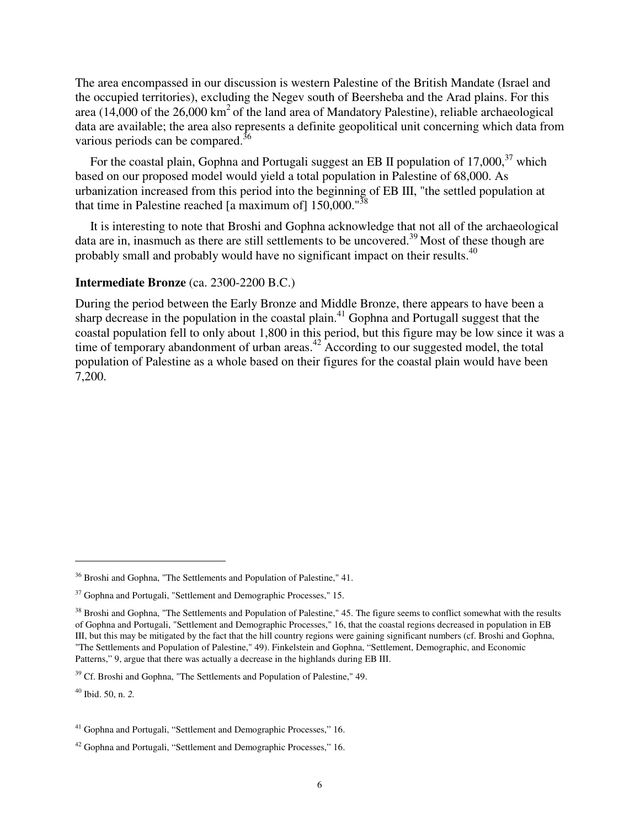The area encompassed in our discussion is western Palestine of the British Mandate (Israel and the occupied territories), excluding the Negev south of Beersheba and the Arad plains. For this area (14,000 of the  $26,000 \text{ km}^2$  of the land area of Mandatory Palestine), reliable archaeological data are available; the area also represents a definite geopolitical unit concerning which data from various periods can be compared.<sup>36</sup>

For the coastal plain, Gophna and Portugali suggest an EB II population of  $17,000$ ,  $37$  which based on our proposed model would yield a total population in Palestine of 68,000. As urbanization increased from this period into the beginning of EB III, "the settled population at that time in Palestine reached [a maximum of]  $150,000$ ."<sup>38</sup>

It is interesting to note that Broshi and Gophna acknowledge that not all of the archaeological data are in, inasmuch as there are still settlements to be uncovered.<sup>39</sup> Most of these though are probably small and probably would have no significant impact on their results.<sup>40</sup>

### **Intermediate Bronze** (ca. 2300-2200 B.C.)

During the period between the Early Bronze and Middle Bronze, there appears to have been a sharp decrease in the population in the coastal plain.<sup>41</sup> Gophna and Portugall suggest that the coastal population fell to only about 1,800 in this period, but this figure may be low since it was a time of temporary abandonment of urban areas.<sup>42</sup> According to our suggested model, the total population of Palestine as a whole based on their figures for the coastal plain would have been 7,200.

<sup>40</sup> Ibid. 50, n. *2.*

<sup>&</sup>lt;sup>36</sup> Broshi and Gophna, "The Settlements and Population of Palestine," 41.

 $37$  Gophna and Portugali, "Settlement and Demographic Processes," 15.

<sup>&</sup>lt;sup>38</sup> Broshi and Gophna, "The Settlements and Population of Palestine," 45. The figure seems to conflict somewhat with the results of Gophna and Portugali, "Settlement and Demographic Processes," 16, that the coastal regions decreased in population in EB III, but this may be mitigated by the fact that the hill country regions were gaining significant numbers (cf. Broshi and Gophna, "The Settlements and Population of Palestine," 49). Finkelstein and Gophna, "Settlement, Demographic, and Economic Patterns," 9, argue that there was actually a decrease in the highlands during EB III.

<sup>&</sup>lt;sup>39</sup> Cf. Broshi and Gophna, "The Settlements and Population of Palestine," 49.

<sup>&</sup>lt;sup>41</sup> Gophna and Portugali, "Settlement and Demographic Processes," 16.

<sup>42</sup> Gophna and Portugali, "Settlement and Demographic Processes," 16.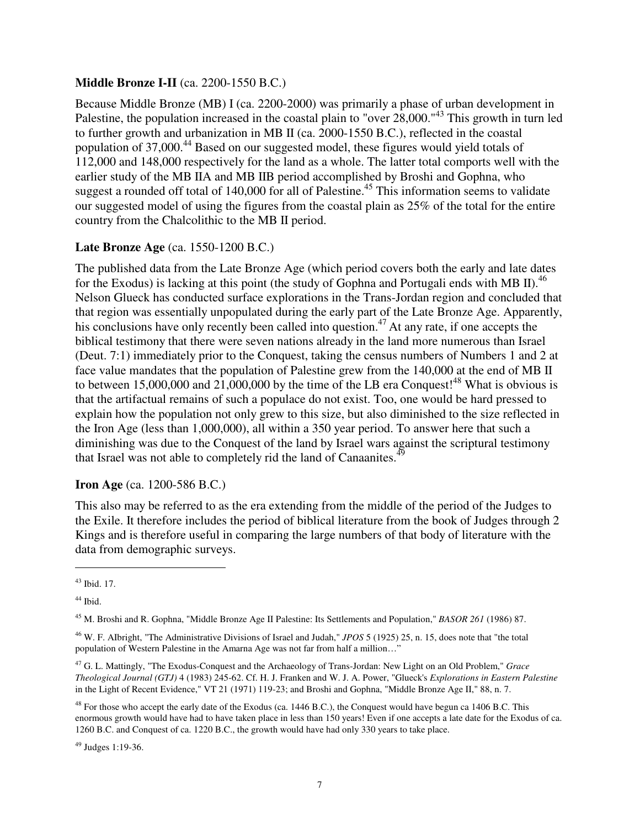# **Middle Bronze I-II** (ca. 2200-1550 B.C.)

Because Middle Bronze (MB) I (ca. 2200-2000) was primarily a phase of urban development in Palestine, the population increased in the coastal plain to "over 28,000."<sup>43</sup> This growth in turn led to further growth and urbanization in MB II (ca. 2000-1550 B.C.), reflected in the coastal population of 37,000.<sup>44</sup> Based on our suggested model, these figures would yield totals of 112,000 and 148,000 respectively for the land as a whole. The latter total comports well with the earlier study of the MB IIA and MB IIB period accomplished by Broshi and Gophna, who suggest a rounded off total of 140,000 for all of Palestine.<sup>45</sup> This information seems to validate our suggested model of using the figures from the coastal plain as 25% of the total for the entire country from the Chalcolithic to the MB II period.

# **Late Bronze Age** (ca. 1550-1200 B.C.)

The published data from the Late Bronze Age (which period covers both the early and late dates for the Exodus) is lacking at this point (the study of Gophna and Portugali ends with MB II).<sup>46</sup> Nelson Glueck has conducted surface explorations in the Trans-Jordan region and concluded that that region was essentially unpopulated during the early part of the Late Bronze Age. Apparently, his conclusions have only recently been called into question.<sup>47</sup> At any rate, if one accepts the biblical testimony that there were seven nations already in the land more numerous than Israel (Deut. 7:1) immediately prior to the Conquest, taking the census numbers of Numbers 1 and 2 at face value mandates that the population of Palestine grew from the 140,000 at the end of MB II to between 15,000,000 and 21,000,000 by the time of the LB era Conquest!<sup>48</sup> What is obvious is that the artifactual remains of such a populace do not exist. Too, one would be hard pressed to explain how the population not only grew to this size, but also diminished to the size reflected in the Iron Age (less than 1,000,000), all within a 350 year period. To answer here that such a diminishing was due to the Conquest of the land by Israel wars against the scriptural testimony that Israel was not able to completely rid the land of Canaanites.<sup>49</sup>

# **Iron Age** (ca. 1200-586 B.C.)

This also may be referred to as the era extending from the middle of the period of the Judges to the Exile. It therefore includes the period of biblical literature from the book of Judges through 2 Kings and is therefore useful in comparing the large numbers of that body of literature with the data from demographic surveys.

<sup>43</sup> Ibid. 17.

<sup>&</sup>lt;sup>44</sup> Ibid.

<sup>45</sup> M. Broshi and R. Gophna, "Middle Bronze Age II Palestine: Its Settlements and Population," *BASOR 261* (1986) 87.

<sup>46</sup> W. F. AIbright, "The Administrative Divisions of Israel and Judah," *JPOS* 5 (1925) 25, n. 15, does note that "the total population of Western Palestine in the Amarna Age was not far from half a million…"

<sup>47</sup> G. L. Mattingly, "The Exodus-Conquest and the Archaeology of Trans-Jordan: New Light on an Old Problem," *Grace Theological Journal (GTJ)* 4 (1983) 245-62. Cf. H. J. Franken and W. J. A. Power, "Glueck's *Explorations in Eastern Palestine*  in the Light of Recent Evidence," VT 21 (1971) 119-23; and Broshi and Gophna, "Middle Bronze Age II," 88, n. 7.

 $^{48}$  For those who accept the early date of the Exodus (ca. 1446 B.C.), the Conquest would have begun ca 1406 B.C. This enormous growth would have had to have taken place in less than 150 years! Even if one accepts a late date for the Exodus of ca. 1260 B.C. and Conquest of ca. 1220 B.C., the growth would have had only 330 years to take place.

<sup>49</sup> Judges 1:19-36.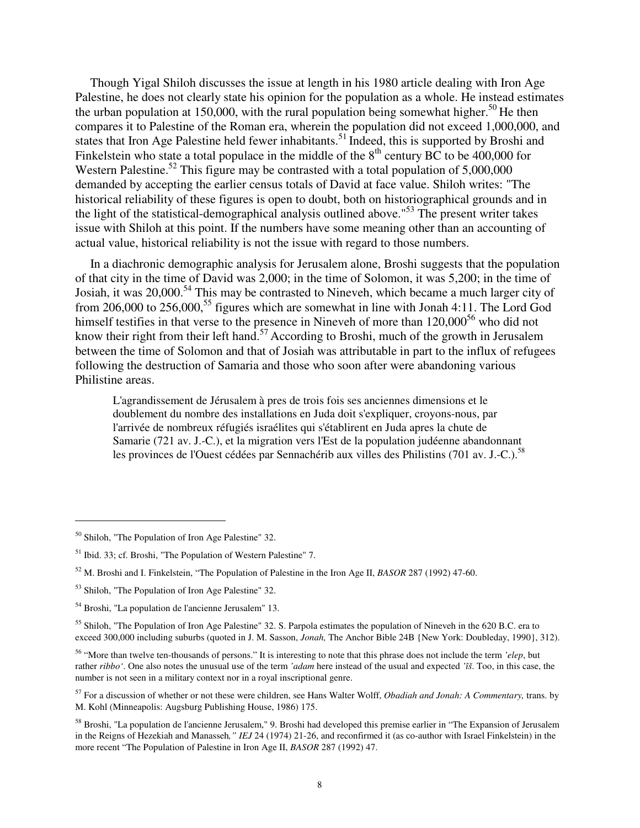Though Yigal Shiloh discusses the issue at length in his 1980 article dealing with Iron Age Palestine, he does not clearly state his opinion for the population as a whole. He instead estimates the urban population at 150,000, with the rural population being somewhat higher.<sup>50</sup> He then compares it to Palestine of the Roman era, wherein the population did not exceed 1,000,000, and states that Iron Age Palestine held fewer inhabitants.<sup>51</sup> Indeed, this is supported by Broshi and Finkelstein who state a total populace in the middle of the  $8<sup>th</sup>$  century BC to be 400,000 for Western Palestine.<sup>52</sup> This figure may be contrasted with a total population of  $5,000,000$ demanded by accepting the earlier census totals of David at face value. Shiloh writes: "The historical reliability of these figures is open to doubt, both on historiographical grounds and in the light of the statistical-demographical analysis outlined above."<sup>53</sup> The present writer takes issue with Shiloh at this point. If the numbers have some meaning other than an accounting of actual value, historical reliability is not the issue with regard to those numbers.

In a diachronic demographic analysis for Jerusalem alone, Broshi suggests that the population of that city in the time of David was 2,000; in the time of Solomon, it was 5,200; in the time of Josiah, it was 20,000.<sup>54</sup> This may be contrasted to Nineveh, which became a much larger city of from 206,000 to 256,000,<sup>55</sup> figures which are somewhat in line with Jonah 4:11. The Lord God himself testifies in that verse to the presence in Nineveh of more than 120,000<sup>56</sup> who did not know their right from their left hand.<sup>57</sup> According to Broshi, much of the growth in Jerusalem between the time of Solomon and that of Josiah was attributable in part to the influx of refugees following the destruction of Samaria and those who soon after were abandoning various Philistine areas.

L'agrandissement de Jérusalem à pres de trois fois ses anciennes dimensions et le doublement du nombre des installations en Juda doit s'expliquer, croyons-nous, par l'arrivée de nombreux réfugiés israélites qui s'établirent en Juda apres la chute de Samarie (721 av. J.-C.), et la migration vers l'Est de la population judéenne abandonnant les provinces de l'Ouest cédées par Sennachérib aux villes des Philistins (701 av. J.-C.).<sup>58</sup>

<sup>50</sup> Shiloh, "The Population of Iron Age Palestine" 32.

<sup>51</sup> Ibid. 33; cf. Broshi, "The Population of Western Palestine" 7.

<sup>52</sup> M. Broshi and I. Finkelstein, "The Population of Palestine in the Iron Age II, *BASOR* 287 (1992) 47-60.

<sup>53</sup> Shiloh, "The Population of Iron Age Palestine" 32.

<sup>54</sup> Broshi, "La population de l'ancienne Jerusalem" 13.

<sup>&</sup>lt;sup>55</sup> Shiloh, "The Population of Iron Age Palestine" 32. S. Parpola estimates the population of Nineveh in the 620 B.C. era to exceed 300,000 including suburbs (quoted in J. M. Sasson, *Jonah,* The Anchor Bible 24B {New York: Doubleday, 1990}, 312).

<sup>56</sup> "More than twelve ten-thousands of persons." It is interesting to note that this phrase does not include the term *'elep*, but rather *ribbo'*. One also notes the unusual use of the term *'adam* here instead of the usual and expected *'îš*. Too, in this case, the number is not seen in a military context nor in a royal inscriptional genre.

<sup>57</sup> For a discussion of whether or not these were children, see Hans Walter Wolff, *Obadiah and Jonah: A Commentary,* trans. by M. Kohl (Minneapolis: Augsburg Publishing House, 1986) 175.

<sup>58</sup> Broshi, "La population de l'ancienne Jerusalem," 9. Broshi had developed this premise earlier in "The Expansion of Jerusalem in the Reigns of Hezekiah and Manasseh*," IEJ* 24 (1974) 21-26, and reconfirmed it (as co-author with Israel Finkelstein) in the more recent "The Population of Palestine in Iron Age II, *BASOR* 287 (1992) 47.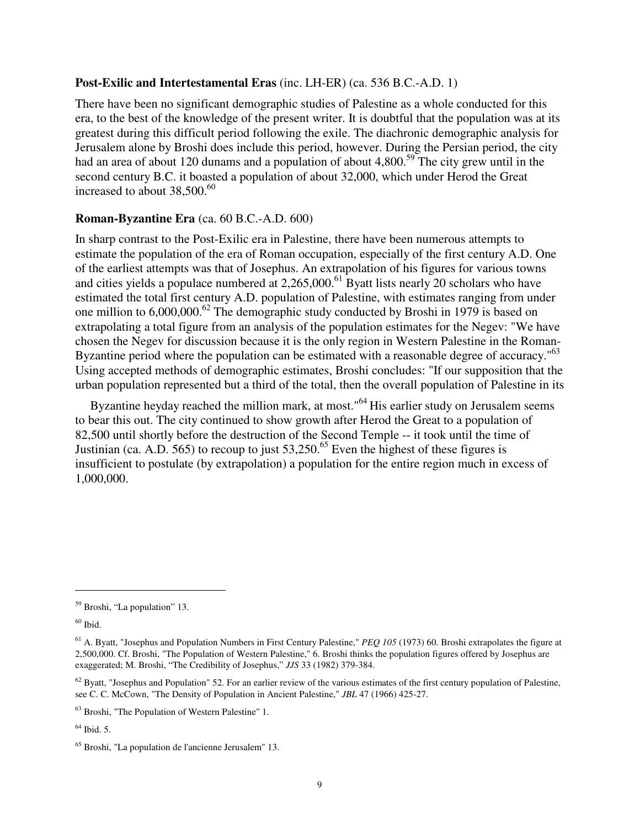## **Post-Exilic and Intertestamental Eras** (inc. LH-ER) (ca. 536 B.C.-A.D. 1)

There have been no significant demographic studies of Palestine as a whole conducted for this era, to the best of the knowledge of the present writer. It is doubtful that the population was at its greatest during this difficult period following the exile. The diachronic demographic analysis for Jerusalem alone by Broshi does include this period, however. During the Persian period, the city had an area of about 120 dunams and a population of about 4,800.<sup>59</sup> The city grew until in the second century B.C. it boasted a population of about 32,000, which under Herod the Great increased to about  $38,500^{60}$ 

# **Roman-Byzantine Era** (ca. 60 B.C.-A.D. 600)

In sharp contrast to the Post-Exilic era in Palestine, there have been numerous attempts to estimate the population of the era of Roman occupation, especially of the first century A.D. One of the earliest attempts was that of Josephus. An extrapolation of his figures for various towns and cities yields a populace numbered at  $2,265,000$ .<sup>61</sup> Byatt lists nearly 20 scholars who have estimated the total first century A.D. population of Palestine, with estimates ranging from under one million to  $6,000,000$ .<sup>62</sup> The demographic study conducted by Broshi in 1979 is based on extrapolating a total figure from an analysis of the population estimates for the Negev: "We have chosen the Negev for discussion because it is the only region in Western Palestine in the Roman-Byzantine period where the population can be estimated with a reasonable degree of accuracy."<sup>63</sup> Using accepted methods of demographic estimates, Broshi concludes: "If our supposition that the urban population represented but a third of the total, then the overall population of Palestine in its

Byzantine heyday reached the million mark, at most."<sup>64</sup>His earlier study on Jerusalem seems to bear this out. The city continued to show growth after Herod the Great to a population of 82,500 until shortly before the destruction of the Second Temple -- it took until the time of Justinian (ca. A.D. 565) to recoup to just  $53,250^{65}$  Even the highest of these figures is insufficient to postulate (by extrapolation) a population for the entire region much in excess of 1,000,000.

l

 $64$  Ibid. 5.

<sup>59</sup> Broshi, "La population" 13.

 $60$  Ibid.

<sup>61</sup> A. Byatt, "Josephus and Population Numbers in First Century Palestine," *PEQ 105* (1973) 60. Broshi extrapolates the figure at 2,500,000. Cf. Broshi, "The Population of Western Palestine," 6. Broshi thinks the population figures offered by Josephus are exaggerated; M. Broshi, "The Credibility of Josephus," *JJS* 33 (1982) 379-384.

 $62$  Byatt, "Josephus and Population" 52. For an earlier review of the various estimates of the first century population of Palestine, see C. C. McCown, "The Density of Population in Ancient Palestine," *JBL* 47 (1966) 425-27.

<sup>63</sup> Broshi, "The Population of Western Palestine" 1.

<sup>65</sup> Broshi, "La population de l'ancienne Jerusalem" 13.